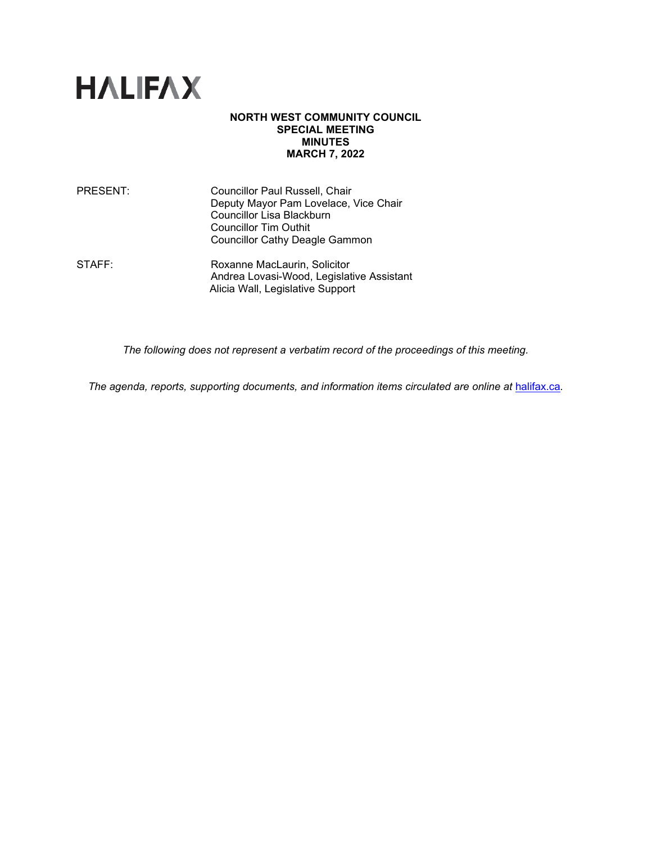

#### **NORTH WEST COMMUNITY COUNCIL SPECIAL MEETING MINUTES MARCH 7, 2022**

| PRESENT:     | Councillor Paul Russell, Chair<br>Deputy Mayor Pam Lovelace, Vice Chair<br>Councillor Lisa Blackburn<br><b>Councillor Tim Outhit</b><br><b>Councillor Cathy Deagle Gammon</b> |
|--------------|-------------------------------------------------------------------------------------------------------------------------------------------------------------------------------|
| <b>STAFF</b> | Roxanne MacLaurin, Solicitor                                                                                                                                                  |

STAFF: Roxanne MacLaurin, Solicitor Andrea Lovasi-Wood, Legislative Assistant Alicia Wall, Legislative Support

*The following does not represent a verbatim record of the proceedings of this meeting.*

The agenda, reports, supporting documents, and information items circulated are online at [halifax.ca](http://www.halifax.ca/).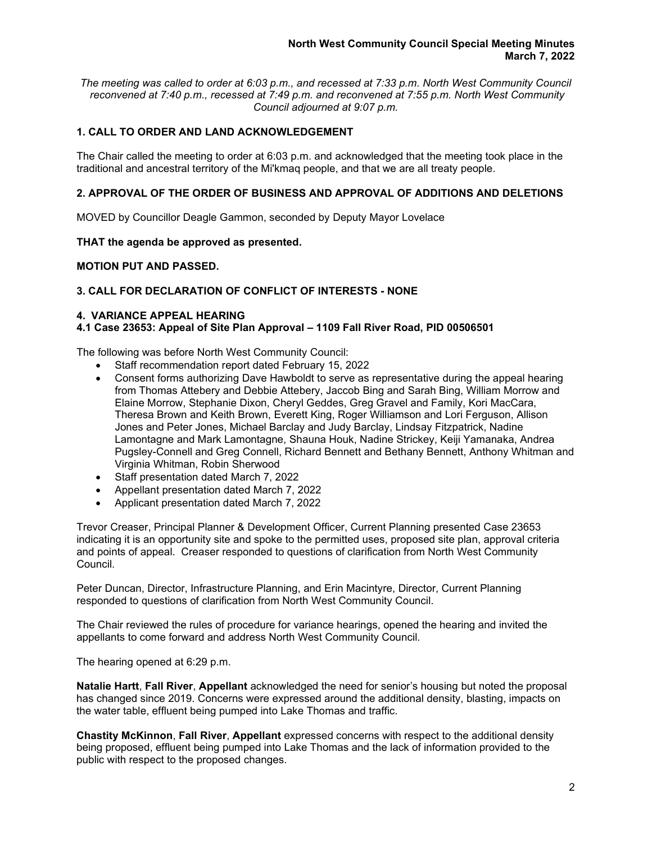*The meeting was called to order at 6:03 p.m., and recessed at 7:33 p.m. North West Community Council reconvened at 7:40 p.m., recessed at 7:49 p.m. and reconvened at 7:55 p.m. North West Community Council adjourned at 9:07 p.m.*

# **1. CALL TO ORDER AND LAND ACKNOWLEDGEMENT**

The Chair called the meeting to order at 6:03 p.m. and acknowledged that the meeting took place in the traditional and ancestral territory of the Mi'kmaq people, and that we are all treaty people.

## **2. APPROVAL OF THE ORDER OF BUSINESS AND APPROVAL OF ADDITIONS AND DELETIONS**

MOVED by Councillor Deagle Gammon, seconded by Deputy Mayor Lovelace

## **THAT the agenda be approved as presented.**

## **MOTION PUT AND PASSED.**

## **3. CALL FOR DECLARATION OF CONFLICT OF INTERESTS - NONE**

#### **4. VARIANCE APPEAL HEARING**

## **4.1 Case 23653: Appeal of Site Plan Approval – 1109 Fall River Road, PID 00506501**

The following was before North West Community Council:

- Staff recommendation report dated February 15, 2022
- Consent forms authorizing Dave Hawboldt to serve as representative during the appeal hearing from Thomas Attebery and Debbie Attebery, Jaccob Bing and Sarah Bing, William Morrow and Elaine Morrow, Stephanie Dixon, Cheryl Geddes, Greg Gravel and Family, Kori MacCara, Theresa Brown and Keith Brown, Everett King, Roger Williamson and Lori Ferguson, Allison Jones and Peter Jones, Michael Barclay and Judy Barclay, Lindsay Fitzpatrick, Nadine Lamontagne and Mark Lamontagne, Shauna Houk, Nadine Strickey, Keiji Yamanaka, Andrea Pugsley-Connell and Greg Connell, Richard Bennett and Bethany Bennett, Anthony Whitman and Virginia Whitman, Robin Sherwood
- Staff presentation dated March 7, 2022
- Appellant presentation dated March 7, 2022
- Applicant presentation dated March 7, 2022

Trevor Creaser, Principal Planner & Development Officer, Current Planning presented Case 23653 indicating it is an opportunity site and spoke to the permitted uses, proposed site plan, approval criteria and points of appeal. Creaser responded to questions of clarification from North West Community Council.

Peter Duncan, Director, Infrastructure Planning, and Erin Macintyre, Director, Current Planning responded to questions of clarification from North West Community Council.

The Chair reviewed the rules of procedure for variance hearings, opened the hearing and invited the appellants to come forward and address North West Community Council.

The hearing opened at 6:29 p.m.

**Natalie Hartt**, **Fall River**, **Appellant** acknowledged the need for senior's housing but noted the proposal has changed since 2019. Concerns were expressed around the additional density, blasting, impacts on the water table, effluent being pumped into Lake Thomas and traffic.

**Chastity McKinnon**, **Fall River**, **Appellant** expressed concerns with respect to the additional density being proposed, effluent being pumped into Lake Thomas and the lack of information provided to the public with respect to the proposed changes.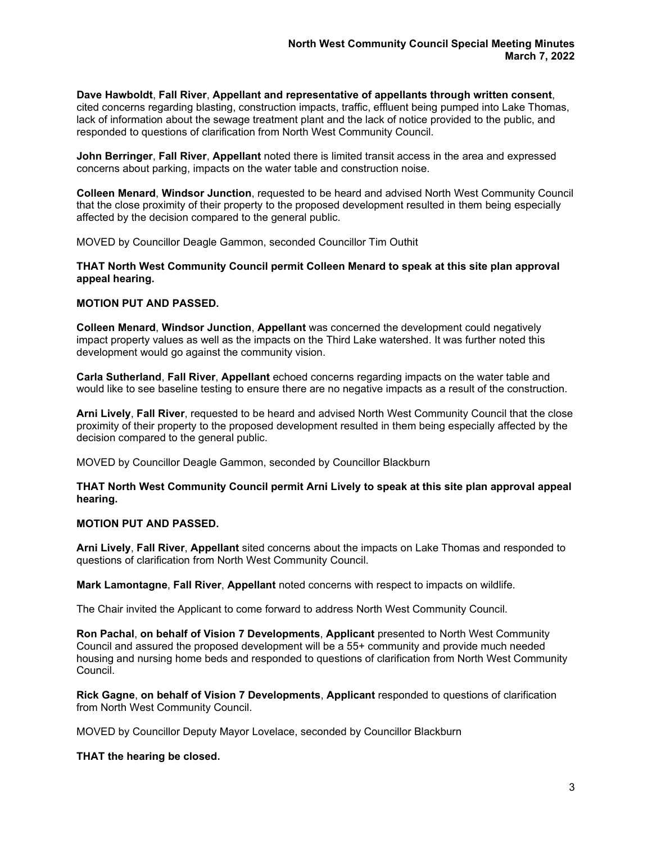**Dave Hawboldt**, **Fall River**, **Appellant and representative of appellants through written consent**, cited concerns regarding blasting, construction impacts, traffic, effluent being pumped into Lake Thomas, lack of information about the sewage treatment plant and the lack of notice provided to the public, and responded to questions of clarification from North West Community Council.

**John Berringer**, **Fall River**, **Appellant** noted there is limited transit access in the area and expressed concerns about parking, impacts on the water table and construction noise.

**Colleen Menard**, **Windsor Junction**, requested to be heard and advised North West Community Council that the close proximity of their property to the proposed development resulted in them being especially affected by the decision compared to the general public.

MOVED by Councillor Deagle Gammon, seconded Councillor Tim Outhit

#### **THAT North West Community Council permit Colleen Menard to speak at this site plan approval appeal hearing.**

#### **MOTION PUT AND PASSED.**

**Colleen Menard**, **Windsor Junction**, **Appellant** was concerned the development could negatively impact property values as well as the impacts on the Third Lake watershed. It was further noted this development would go against the community vision.

**Carla Sutherland**, **Fall River**, **Appellant** echoed concerns regarding impacts on the water table and would like to see baseline testing to ensure there are no negative impacts as a result of the construction.

**Arni Lively**, **Fall River**, requested to be heard and advised North West Community Council that the close proximity of their property to the proposed development resulted in them being especially affected by the decision compared to the general public.

MOVED by Councillor Deagle Gammon, seconded by Councillor Blackburn

**THAT North West Community Council permit Arni Lively to speak at this site plan approval appeal hearing.**

## **MOTION PUT AND PASSED.**

**Arni Lively**, **Fall River**, **Appellant** sited concerns about the impacts on Lake Thomas and responded to questions of clarification from North West Community Council.

**Mark Lamontagne**, **Fall River**, **Appellant** noted concerns with respect to impacts on wildlife.

The Chair invited the Applicant to come forward to address North West Community Council.

**Ron Pachal**, **on behalf of Vision 7 Developments**, **Applicant** presented to North West Community Council and assured the proposed development will be a 55+ community and provide much needed housing and nursing home beds and responded to questions of clarification from North West Community Council.

**Rick Gagne**, **on behalf of Vision 7 Developments**, **Applicant** responded to questions of clarification from North West Community Council.

MOVED by Councillor Deputy Mayor Lovelace, seconded by Councillor Blackburn

**THAT the hearing be closed.**